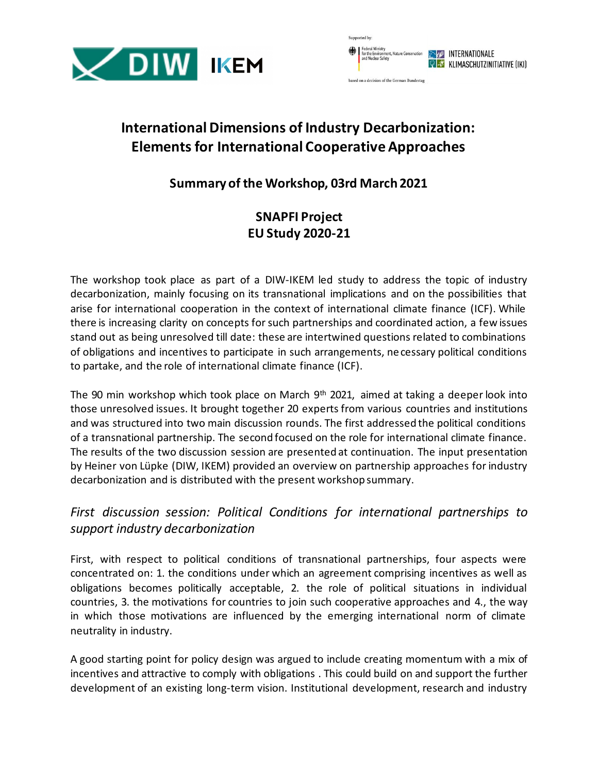

| <b>Dupported Dy.</b>                                                               |                                                                            |
|------------------------------------------------------------------------------------|----------------------------------------------------------------------------|
| Federal Ministry<br>for the Environment, Nature Conservation<br>and Nuclear Safety | <b>EVERED INTERNATIONALE</b><br><b>Q &amp; KLIMASCHUTZINITIATIVE (IKI)</b> |
| based on a decision of the German Bundestag                                        |                                                                            |

# **International Dimensions of Industry Decarbonization: Elements for International Cooperative Approaches**

## **Summary of the Workshop, 03rd March 2021**

## **SNAPFI Project EU Study 2020-21**

The workshop took place as part of a DIW-IKEM led study to address the topic of industry decarbonization, mainly focusing on its transnational implications and on the possibilities that arise for international cooperation in the context of international climate finance (ICF). While there is increasing clarity on concepts for such partnerships and coordinated action, a few issues stand out as being unresolved till date: these are intertwined questions related to combinations of obligations and incentives to participate in such arrangements, necessary political conditions to partake, and the role of international climate finance (ICF).

The 90 min workshop which took place on March 9th 2021, aimed at taking a deeper look into those unresolved issues. It brought together 20 experts from various countries and institutions and was structured into two main discussion rounds. The first addressed the political conditions of a transnational partnership. The second focused on the role for international climate finance. The results of the two discussion session are presented at continuation. The input presentation by Heiner von Lüpke (DIW, IKEM) provided an overview on partnership approaches for industry decarbonization and is distributed with the present workshop summary.

#### *First discussion session: Political Conditions for international partnerships to support industry decarbonization*

First, with respect to political conditions of transnational partnerships, four aspects were concentrated on: 1. the conditions under which an agreement comprising incentives as well as obligations becomes politically acceptable, 2. the role of political situations in individual countries, 3. the motivations for countries to join such cooperative approaches and 4., the way in which those motivations are influenced by the emerging international norm of climate neutrality in industry.

A good starting point for policy design was argued to include creating momentum with a mix of incentives and attractive to comply with obligations . This could build on and support the further development of an existing long-term vision. Institutional development, research and industry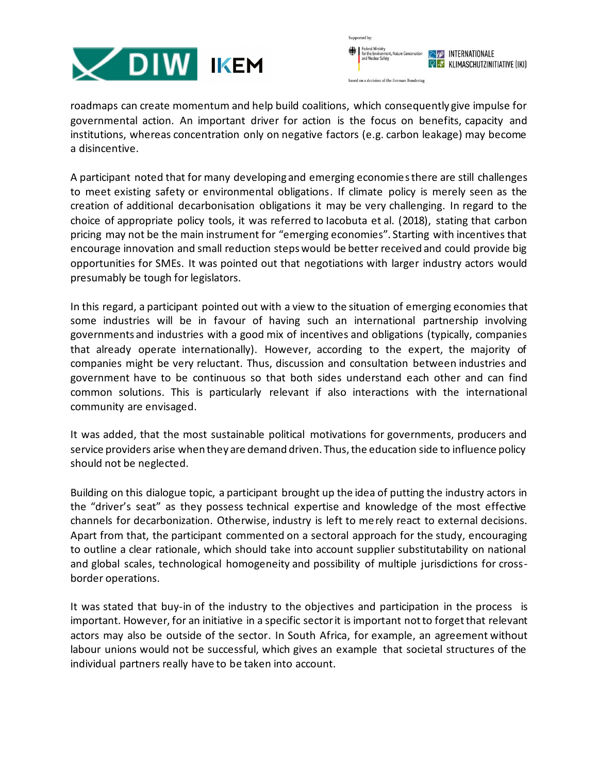



roadmaps can create momentum and help build coalitions, which consequently give impulse for governmental action. An important driver for action is the focus on benefits, capacity and institutions, whereas concentration only on negative factors (e.g. carbon leakage) may become a disincentive.

A participant noted that for many developing and emerging economies there are still challenges to meet existing safety or environmental obligations. If climate policy is merely seen as the creation of additional decarbonisation obligations it may be very challenging. In regard to the choice of appropriate policy tools, it was referred to Iacobuta et al. (2018), stating that carbon pricing may not be the main instrument for "emerging economies". Starting with incentives that encourage innovation and small reduction steps would be better received and could provide big opportunities for SMEs. It was pointed out that negotiations with larger industry actors would presumably be tough for legislators.

In this regard, a participant pointed out with a view to the situation of emerging economies that some industries will be in favour of having such an international partnership involving governments and industries with a good mix of incentives and obligations (typically, companies that already operate internationally). However, according to the expert, the majority of companies might be very reluctant. Thus, discussion and consultation between industries and government have to be continuous so that both sides understand each other and can find common solutions. This is particularly relevant if also interactions with the international community are envisaged.

It was added, that the most sustainable political motivations for governments, producers and service providers arise when they are demand driven. Thus, the education side to influence policy should not be neglected.

Building on this dialogue topic, a participant brought up the idea of putting the industry actors in the "driver's seat" as they possess technical expertise and knowledge of the most effective channels for decarbonization. Otherwise, industry is left to merely react to external decisions. Apart from that, the participant commented on a sectoral approach for the study, encouraging to outline a clear rationale, which should take into account supplier substitutability on national and global scales, technological homogeneity and possibility of multiple jurisdictions for crossborder operations.

It was stated that buy-in of the industry to the objectives and participation in the process is important. However, for an initiative in a specific sector it is important not to forget that relevant actors may also be outside of the sector. In South Africa, for example, an agreement without labour unions would not be successful, which gives an example that societal structures of the individual partners really have to be taken into account.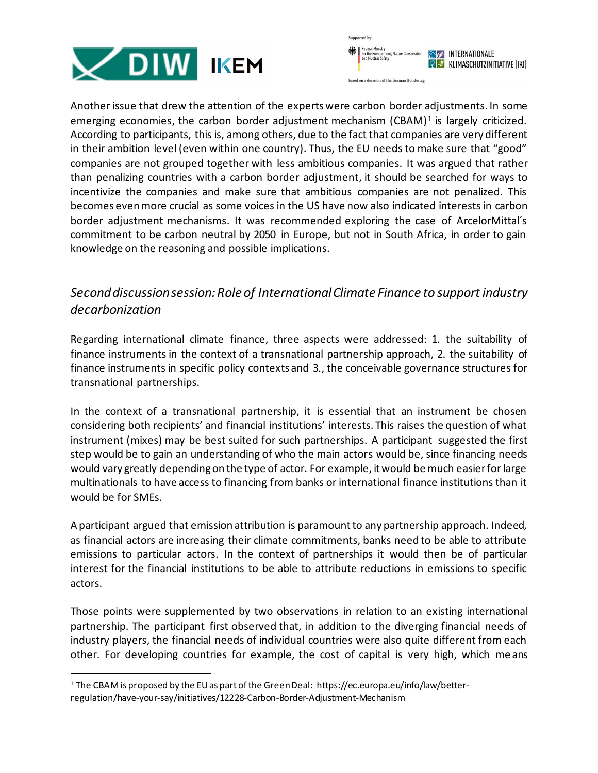



Another issue that drew the attention of the experts were carbon border adjustments. In some emerging economies, the carbon border adjustment mechanism (CBAM)<sup>1</sup> is largely criticized. According to participants, this is, among others, due to the fact that companies are very different in their ambition level (even within one country). Thus, the EU needs to make sure that "good" companies are not grouped together with less ambitious companies. It was argued that rather than penalizing countries with a carbon border adjustment, it should be searched for ways to incentivize the companies and make sure that ambitious companies are not penalized. This becomes even more crucial as some voices in the US have now also indicated interests in carbon border adjustment mechanisms. It was recommended exploring the case of ArcelorMittal´s commitment to be carbon neutral by 2050 in Europe, but not in South Africa, in order to gain knowledge on the reasoning and possible implications.

#### *Second discussion session: Role of International Climate Finance to support industry decarbonization*

Regarding international climate finance, three aspects were addressed: 1. the suitability of finance instruments in the context of a transnational partnership approach, 2. the suitability of finance instruments in specific policy contexts and 3., the conceivable governance structures for transnational partnerships.

In the context of a transnational partnership, it is essential that an instrument be chosen considering both recipients' and financial institutions' interests. This raises the question of what instrument (mixes) may be best suited for such partnerships. A participant suggested the first step would be to gain an understanding of who the main actors would be, since financing needs would vary greatly depending on the type of actor. For example, it would be much easier for large multinationals to have access to financing from banks or international finance institutions than it would be for SMEs.

A participant argued that emission attribution is paramount to any partnership approach. Indeed, as financial actors are increasing their climate commitments, banks need to be able to attribute emissions to particular actors. In the context of partnerships it would then be of particular interest for the financial institutions to be able to attribute reductions in emissions to specific actors.

Those points were supplemented by two observations in relation to an existing international partnership. The participant first observed that, in addition to the diverging financial needs of industry players, the financial needs of individual countries were also quite different from each other. For developing countries for example, the cost of capital is very high, which me ans

<sup>1</sup> The CBAM is proposed by the EU as part of the Green Deal: https://ec.europa.eu/info/law/betterregulation/have-your-say/initiatives/12228-Carbon-Border-Adjustment-Mechanism